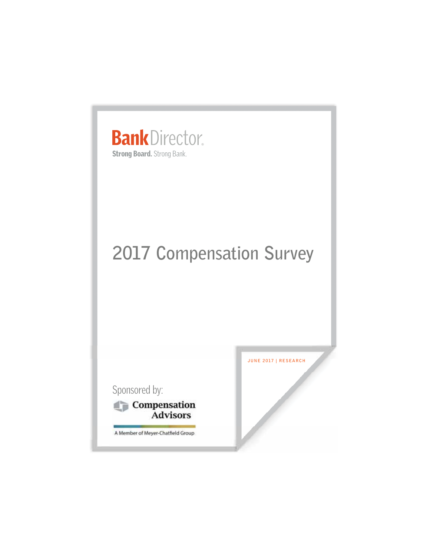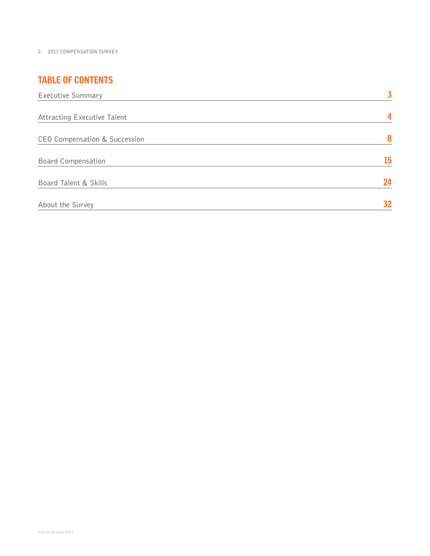# TABLE OF CONTENTS

| <b>Executive Summary</b>           | $\overline{\mathbf{3}}$ |
|------------------------------------|-------------------------|
| <b>Attracting Executive Talent</b> | 4                       |
| CEO Compensation & Succession      | 8                       |
| <b>Board Compensation</b>          | 15                      |
| Board Talent & Skills              | 24                      |
| About the Survey                   | 32                      |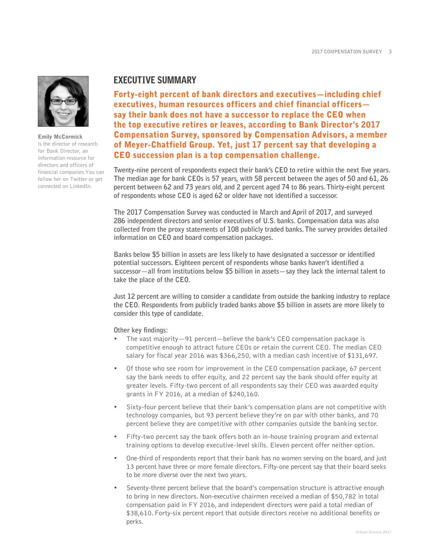

**Emily McCormick** is the director of research for Bank Director, an information resource for directors and officers of financial companies.You can follow her on Twitter or get connected on LinkedIn.

# EXECUTIVE SUMMARY

**Forty-eight percent of bank directors and executives—including chief<br>Earthy-eight percent of bank does not have a successor to replace the CEO when<br>the top executive refliess or leaves, according to Bank Director's 2017<br>C executives, human resources officers and chief financial officers say their bank does not have a successor to replace the CEO when the top executive retires or leaves, according to Bank Director's 2017 Compensation Survey, sponsored by Compensation Advisors, a member of Meyer-Chatfield Group. Yet, just 17 percent say that developing a CEO succession plan is a top compensation challenge.**

**Twenty-nine percent of respondents expect their bank's CEO to retire within the next five years. The median age for bank CEOs is 57 years, with 58 percent between the ages of 50 and 61, 26 percent between 62 and 73 years old, and 2 percent aged 74 to 86 years. Thirty-eight percent of respondents whose CEO is aged 62 or older have not identified a successor.** 

**The 2017 Compensation Survey was conducted in March and April of 2017, and surveyed 286 independent directors and senior executives of U.S. banks. Compensation data was also collected from the proxy statements of 108 publicly traded banks. The survey provides detailed information on CEO and board compensation packages.**

**Banks below \$5 billion in assets are less likely to have designated a successor or identified potential successors. Eighteen percent of respondents whose banks haven't identified a successor—all from institutions below \$5 billion in assets—say they lack the internal talent to take the place of the CEO.**

**Just 12 percent are willing to consider a candidate from outside the banking industry to replace the CEO. Respondents from publicly traded banks above \$5 billion in assets are more likely to consider this type of candidate.**

**Other key findings:** 

- The vast majority—91 percent—believe the bank's CEO compensation package is competitive enough to attract future CEOs or retain the current CEO. The median CEO salary for fiscal year 2016 was \$366,250, with a median cash incentive of \$131,697.
- Of those who see room for improvement in the CEO compensation package, 67 percent say the bank needs to offer equity, and 22 percent say the bank should offer equity at greater levels. Fifty-two percent of all respondents say their CEO was awarded equity grants in FY 2016, at a median of \$240,160.
- Sixty-four percent believe that their bank's compensation plans are not competitive with technology companies, but 93 percent believe they're on par with other banks, and 70 percent believe they are competitive with other companies outside the banking sector.
- Fifty-two percent say the bank offers both an in-house training program and external training options to develop executive-level skills. Eleven percent offer neither option.
- One-third of respondents report that their bank has no women serving on the board, and just 13 percent have three or more female directors. Fifty-one percent say that their board seeks to be more diverse over the next two years.
- Seventy-three percent believe that the board's compensation structure is attractive enough to bring in new directors. Non-executive chairmen received a median of \$50,782 in total compensation paid in FY 2016, and independent directors were paid a total median of \$38,610. Forty-six percent report that outside directors receive no additional benefits or perks.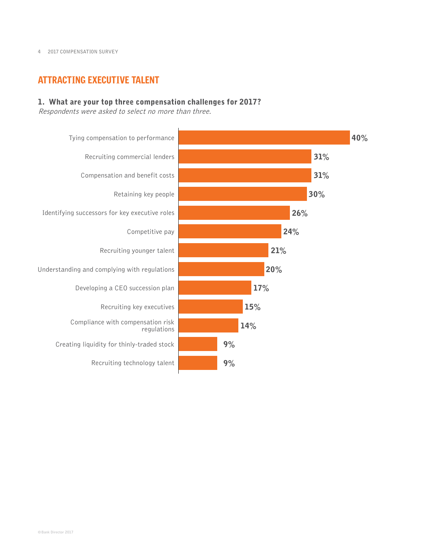# ATTRACTING EXECUTIVE TALENT

#### **1. What are your top three compensation challenges for 2017?**

Respondents were asked to select no more than three.

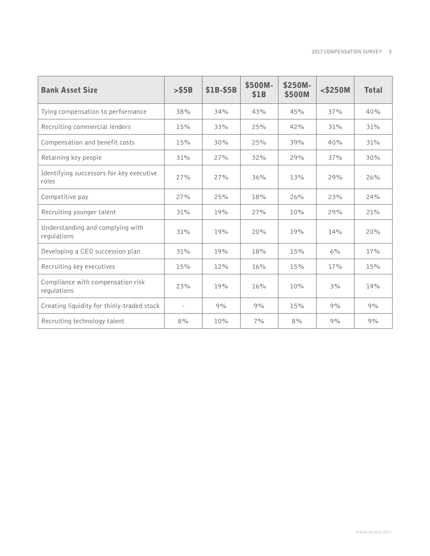| <b>Bank Asset Size</b>                            | $>$ \$5B                 | \$1B-\$5B | \$500M-<br>\$1B | \$250M-<br>\$500M | $<$ \$250M | <b>Total</b> |
|---------------------------------------------------|--------------------------|-----------|-----------------|-------------------|------------|--------------|
| Tying compensation to performance                 | 38%                      | 34%       | 43%             | 45%               | 37%        | 40%          |
| Recruiting commercial lenders                     | 15%                      | 33%       | 25%             | 42%               | 31%        | 31%          |
| Compensation and benefit costs                    | 15%                      | 30%       | 25%             | 39%               | 40%        | 31%          |
| Retaining key people                              | 31%                      | 27%       | 32%             | 29%               | 37%        | 30%          |
| Identifying successors for key executive<br>roles | 27%                      | 27%       | 36%             | 13%               | 29%        | 26%          |
| Competitive pay                                   | 27%                      | 25%       | 18%             | 26%               | 23%        | 24%          |
| Recruiting younger talent                         | 31%                      | 19%       | 27%             | 10%               | 29%        | 21%          |
| Understanding and complying with<br>regulations   | 31%                      | 19%       | 20%             | 19%               | 14%        | 20%          |
| Developing a CEO succession plan                  | 31%                      | 19%       | 18%             | 15%               | 6%         | 17%          |
| Recruiting key executives                         | 15%                      | 12%       | 16%             | 15%               | 17%        | 15%          |
| Compliance with compensation risk<br>regulations  | 23%                      | 19%       | 16%             | 10%               | 3%         | 14%          |
| Creating liquidity for thinly-traded stock        | $\overline{\phantom{0}}$ | 9%        | 9%              | 15%               | 9%         | 9%           |
| Recruiting technology talent                      | 8%                       | 10%       | 7%              | 8%                | 9%         | 9%           |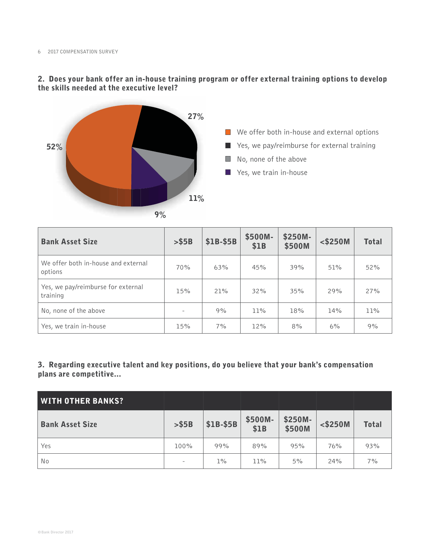

# **2. Does your bank offer an in-house training program or offer external training options to develop the skills needed at the executive level?**



- Yes, we pay/reimburse for external training
- No, none of the above
- $\blacksquare$  Yes, we train in-house

| <b>Bank Asset Size</b>                         | > \$5B                   | \$1B-\$5B | \$500M-<br>\$1B | \$250M-<br>\$500M | $<$ \$250M | <b>Total</b> |
|------------------------------------------------|--------------------------|-----------|-----------------|-------------------|------------|--------------|
| We offer both in-house and external<br>options | 70%                      | 63%       | 45%             | 39%               | 51%        | 52%          |
| Yes, we pay/reimburse for external<br>training | 15%                      | 21%       | 32%             | 35%               | 29%        | 27%          |
| No, none of the above                          | $\overline{\phantom{a}}$ | 9%        | 11%             | 18%               | 14%        | 11%          |
| Yes, we train in-house                         | 15%                      | 7%        | 12%             | 8%                | 6%         | 9%           |

# **3. Regarding executive talent and key positions, do you believe that your bank's compensation plans are competitive...**

| <b>WITH OTHER BANKS?</b> |                          |           |                 |                   |            |              |
|--------------------------|--------------------------|-----------|-----------------|-------------------|------------|--------------|
| <b>Bank Asset Size</b>   | > \$5B                   | \$1B-\$5B | \$500M-<br>\$1B | \$250M-<br>\$500M | $<$ \$250M | <b>Total</b> |
| Yes                      | 100%                     | 99%       | 89%             | 95%               | 76%        | 93%          |
| No                       | $\overline{\phantom{a}}$ | $1\%$     | 11%             | 5%                | 24%        | 7%           |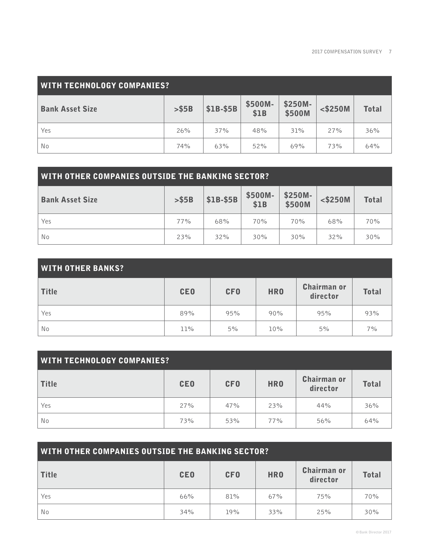**Total** 

| <b>WITH TECHNOLOGY COMPANIES?</b> |        |           |                 |                   |            |              |  |  |  |
|-----------------------------------|--------|-----------|-----------------|-------------------|------------|--------------|--|--|--|
| <b>Bank Asset Size</b>            | > \$5B | \$1B-\$5B | \$500M-<br>\$1B | \$250M-<br>\$500M | $<$ \$250M | <b>Total</b> |  |  |  |
| Yes                               | 26%    | 37%       | 48%             | 31%               | 27%        | 36%          |  |  |  |
| No                                | 74%    | 63%       | 52%             | 69%               | 73%        | 64%          |  |  |  |

| WITH OTHER COMPANIES OUTSIDE THE BANKING SECTOR? |          |           |                        |                   |            |             |  |  |  |  |
|--------------------------------------------------|----------|-----------|------------------------|-------------------|------------|-------------|--|--|--|--|
| <b>Bank Asset Size</b>                           | $>$ \$5B | \$1B-\$5B | \$500M-<br><b>\$1B</b> | \$250M-<br>\$500M | $<$ \$250M | <b>Tota</b> |  |  |  |  |
| Yes                                              | 77%      | 68%       | 70%                    | 70%               | 68%        | 70%         |  |  |  |  |
|                                                  |          |           |                        |                   |            |             |  |  |  |  |

| <b>WITH OTHER BANKS?</b> |            |            |            |                                |              |
|--------------------------|------------|------------|------------|--------------------------------|--------------|
| Title                    | <b>CEO</b> | <b>CFO</b> | <b>HRO</b> | <b>Chairman or</b><br>director | <b>Total</b> |
| Yes                      | 89%        | 95%        | 90%        | 95%                            | 93%          |
| No                       | 11%        | 5%         | 10%        | 5%                             | 7%           |

No 23% 32% 30% 30% 32% 30%

| <b>WITH TECHNOLOGY COMPANIES?</b> |            |            |            |                                |              |  |  |  |  |
|-----------------------------------|------------|------------|------------|--------------------------------|--------------|--|--|--|--|
| <b>Title</b>                      | <b>CEO</b> | <b>CFO</b> | <b>HRO</b> | <b>Chairman or</b><br>director | <b>Total</b> |  |  |  |  |
| Yes                               | 27%        | 47%        | 23%        | 44%                            | 36%          |  |  |  |  |
| No                                | 73%        | 53%        | 77%        | 56%                            | 64%          |  |  |  |  |

| WITH OTHER COMPANIES OUTSIDE THE BANKING SECTOR? |            |            |            |                                |              |  |  |  |  |
|--------------------------------------------------|------------|------------|------------|--------------------------------|--------------|--|--|--|--|
| <b>Title</b>                                     | <b>CEO</b> | <b>CFO</b> | <b>HRO</b> | <b>Chairman or</b><br>director | <b>Total</b> |  |  |  |  |
| Yes                                              | 66%        | 81%        | 67%        | 75%                            | 70%          |  |  |  |  |
| No                                               | 34%        | 19%        | 33%        | 25%                            | 30%          |  |  |  |  |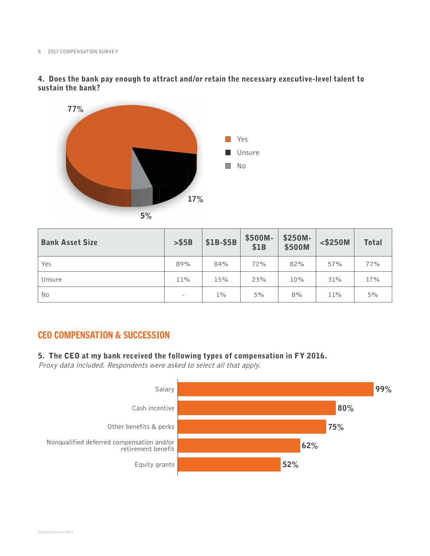**8 2017 COMPENSATION SURVEY**



**4. Does the bank pay enough to attract and/or retain the necessary executive-level talent to sustain the bank?**



| <b>Bank Asset Size</b> | > \$5B | \$1B-\$5B | \$500M-<br>\$1B | \$250M-<br>\$500M | $<$ \$250M | <b>Total</b> |
|------------------------|--------|-----------|-----------------|-------------------|------------|--------------|
| Yes                    | 89%    | 84%       | 72%             | 82%               | 57%        | 77%          |
| Unsure                 | 11%    | 15%       | 23%             | 10%               | 31%        | 17%          |
| No                     | -      | $1\%$     | 5%              | 8%                | 11%        | 5%           |

# CEO COMPENSATION & SUCCESSION

# **5. The CEO at my bank received the following types of compensation in FY 2016.**

Proxy data included. Respondents were asked to select all that apply.

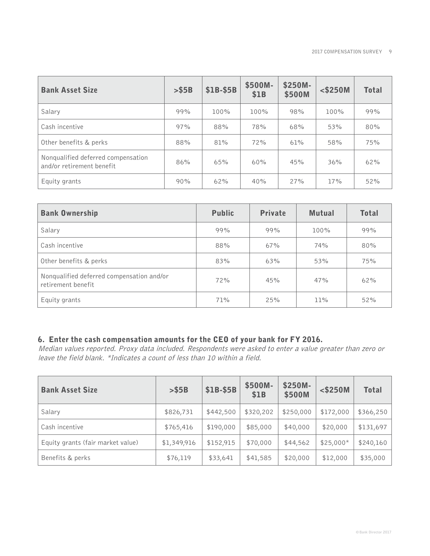| <b>Bank Asset Size</b>                                          | > \$5B | \$1B-\$5B | \$500M-<br>\$1B | \$250M-<br>\$500M | $<$ \$250M | <b>Total</b> |
|-----------------------------------------------------------------|--------|-----------|-----------------|-------------------|------------|--------------|
| Salary                                                          | 99%    | 100%      | 100%            | 98%               | 100%       | 99%          |
| Cash incentive                                                  | 97%    | 88%       | 78%             | 68%               | 53%        | 80%          |
| Other benefits & perks                                          | 88%    | 81%       | 72%             | 61%               | 58%        | 75%          |
| Nonqualified deferred compensation<br>and/or retirement benefit | 86%    | 65%       | 60%             | 45%               | 36%        | 62%          |
| Equity grants                                                   | 90%    | 62%       | 40%             | 27%               | 17%        | 52%          |

| <b>Bank Ownership</b>                                           | <b>Public</b> | <b>Private</b> | <b>Mutual</b> | <b>Total</b> |
|-----------------------------------------------------------------|---------------|----------------|---------------|--------------|
| Salary                                                          | 99%           | 99%            | 100%          | 99%          |
| Cash incentive                                                  | 88%           | 67%            | 74%           | 80%          |
| Other benefits & perks                                          | 83%           | 63%            | 53%           | 75%          |
| Nonqualified deferred compensation and/or<br>retirement benefit | 72%           | 45%            | 47%           | 62%          |
| Equity grants                                                   | 71%           | 25%            | 11%           | 52%          |

### **6. Enter the cash compensation amounts for the CEO of your bank for FY 2016.**

Median values reported. Proxy data included. Respondents were asked to enter a value greater than zero or leave the field blank. \*Indicates a count of less than 10 within a field.

| <b>Bank Asset Size</b>            | > \$5B      | \$1B-\$5B | \$500M-<br>\$1B | \$250M-<br>\$500M | $<$ \$250M | <b>Total</b> |
|-----------------------------------|-------------|-----------|-----------------|-------------------|------------|--------------|
| Salary                            | \$826,731   | \$442,500 | \$320,202       | \$250,000         | \$172,000  | \$366,250    |
| Cash incentive                    | \$765,416   | \$190,000 | \$85,000        | \$40,000          | \$20,000   | \$131,697    |
| Equity grants (fair market value) | \$1,349,916 | \$152,915 | \$70,000        | \$44,562          | $$25,000*$ | \$240,160    |
| Benefits & perks                  | \$76,119    | \$33,641  | \$41,585        | \$20,000          | \$12,000   | \$35,000     |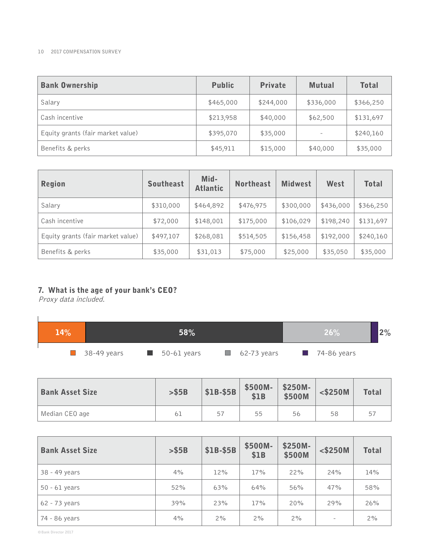#### **10 2017 COMPENSATION SURVEY**

| <b>Bank Ownership</b>             | <b>Public</b> | <b>Private</b> | <b>Mutual</b>            | <b>Total</b> |
|-----------------------------------|---------------|----------------|--------------------------|--------------|
| Salary                            | \$465,000     | \$244,000      | \$336,000                | \$366,250    |
| Cash incentive                    | \$213,958     | \$40,000       | \$62,500                 | \$131,697    |
| Equity grants (fair market value) | \$395,070     | \$35,000       | $\overline{\phantom{a}}$ | \$240,160    |
| Benefits & perks                  | \$45,911      | \$15,000       | \$40,000                 | \$35,000     |

| <b>Region</b>                     | <b>Southeast</b> | Mid-<br><b>Atlantic</b> | <b>Northeast</b> | <b>Midwest</b> | West      | <b>Total</b> |
|-----------------------------------|------------------|-------------------------|------------------|----------------|-----------|--------------|
| Salary                            | \$310,000        | \$464,892               | \$476,975        | \$300,000      | \$436,000 | \$366,250    |
| Cash incentive                    | \$72,000         | \$148,001               | \$175,000        | \$106,029      | \$198,240 | \$131,697    |
| Equity grants (fair market value) | \$497,107        | \$268,081               | \$514,505        | \$156,458      | \$192,000 | \$240,160    |
| Benefits & perks                  | \$35,000         | \$31,013                | \$75,000         | \$25,000       | \$35,050  | \$35,000     |

# **7. What is the age of your bank's CEO?**

Proxy data included.

| 14% |                    | 58%                        |                    | 26%         | 2% |
|-----|--------------------|----------------------------|--------------------|-------------|----|
|     | $\Box$ 38-49 years | $\blacksquare$ 50-61 years | $\Box$ 62-73 years | 74-86 years |    |

| <b>Bank Asset Size</b> | $>$ \$5B | \$1B-\$5B | $$500M-$<br>$$1B$ | \$250M-<br>\$500M | $<$ \$250M | <b>Total</b> |
|------------------------|----------|-----------|-------------------|-------------------|------------|--------------|
| Median CEO age         | 61       | 57        | 55                | 56                | 58         | 57           |

| <b>Bank Asset Size</b> | > \$5B | \$1B-\$5B | \$500M-<br>\$1B | \$250M-<br>\$500M | $<$ \$250M | <b>Total</b> |
|------------------------|--------|-----------|-----------------|-------------------|------------|--------------|
| 38 - 49 years          | 4%     | 12%       | 17%             | 22%               | 24%        | 14%          |
| $50 - 61$ years        | 52%    | 63%       | 64%             | 56%               | 47%        | 58%          |
| $62 - 73$ years        | 39%    | 23%       | 17%             | 20%               | 29%        | 26%          |
| 74 - 86 years          | 4%     | 2%        | 2%              | 2%                | $\sim$     | 2%           |

**© Bank Director 2017**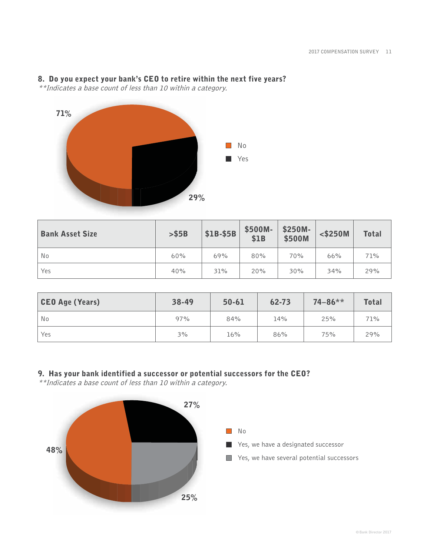# **8. Do you expect your bank's CEO to retire within the next five years?**

\*\*Indicates a base count of less than 10 within a category.



| <b>Bank Asset Size</b> | $>$ \$5B | \$1B-\$5B | \$500M-<br>\$1B | \$250M-<br>\$500M | $<$ \$250M | <b>Total</b> |
|------------------------|----------|-----------|-----------------|-------------------|------------|--------------|
| No                     | 60%      | 69%       | 80%             | 70%               | 66%        | 71%          |
| Yes                    | 40%      | 31%       | 20%             | 30%               | 34%        | 29%          |

| <b>CEO Age (Years)</b> | 38-49 | $50 - 61$ | 62-73 | $74 - 86$ ** | <b>Total</b> |
|------------------------|-------|-----------|-------|--------------|--------------|
| No                     | 97%   | 84%       | 14%   | 25%          | 71%          |
| Yes                    | 3%    | 16%       | 86%   | 75%          | 29%          |

## **9. Has your bank identified a successor or potential successors for the CEO?**

\*\*Indicates a base count of less than 10 within a category.

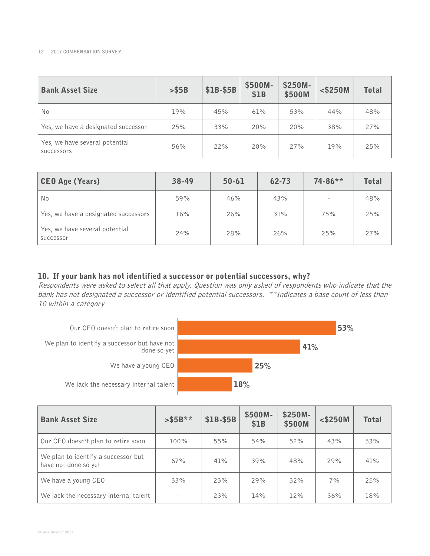#### **12 2017 COMPENSATION SURVEY**

| <b>Bank Asset Size</b>                       | $>$ \$5B | \$1B-\$5B | \$500M-<br>\$1B | \$250M-<br>\$500M | $<$ \$250M | <b>Total</b> |
|----------------------------------------------|----------|-----------|-----------------|-------------------|------------|--------------|
| No                                           | 19%      | 45%       | 61%             | 53%               | 44%        | 48%          |
| Yes, we have a designated successor          | 25%      | 33%       | 20%             | 20%               | 38%        | 27%          |
| Yes, we have several potential<br>SUCCESSOMS | 56%      | 22%       | 20%             | 27%               | 19%        | 25%          |

| <b>CEO Age (Years)</b>                      | 38-49 | $50 - 61$ | 62-73 | $74 - 86$ ** | <b>Total</b> |
|---------------------------------------------|-------|-----------|-------|--------------|--------------|
| No                                          | 59%   | 46%       | 43%   |              | 48%          |
| Yes, we have a designated successors        | 16%   | 26%       | 31%   | 75%          | 25%          |
| Yes, we have several potential<br>SUCCESSOM | 24%   | 28%       | 26%   | 25%          | 27%          |

## **10. If your bank has not identified a successor or potential successors, why?**

Respondents were asked to select all that apply. Question was only asked of respondents who indicate that the bank has not designated a successor or identified potential successors. \*\*Indicates a base count of less than 10 within a category



| <b>Bank Asset Size</b>                                      | $>$ \$5B** | \$1B-\$5B | \$500M-<br>\$1B | \$250M-<br>\$500M | $<$ \$250M | <b>Total</b> |
|-------------------------------------------------------------|------------|-----------|-----------------|-------------------|------------|--------------|
| Our CEO doesn't plan to retire soon                         | 100%       | 55%       | 54%             | 52%               | 43%        | 53%          |
| We plan to identify a successor but<br>have not done so yet | 67%        | 41%       | 39%             | 48%               | 29%        | 41%          |
| We have a young CEO                                         | 33%        | 23%       | 29%             | 32%               | 7%         | 25%          |
| We lack the necessary internal talent                       |            | 23%       | 14%             | 12%               | 36%        | 18%          |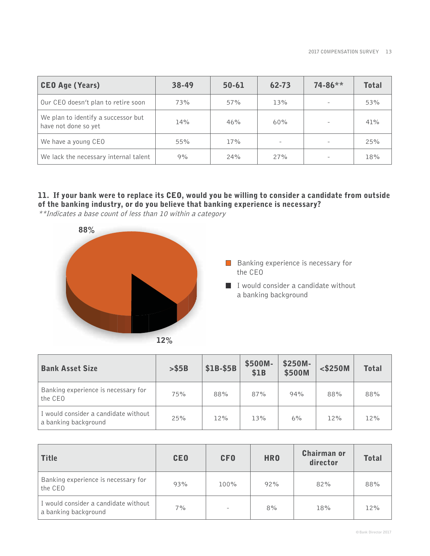| <b>CEO Age (Years)</b>                                      | 38-49 | $50 - 61$ | 62-73  | $74 - 86$ ** | <b>Total</b> |
|-------------------------------------------------------------|-------|-----------|--------|--------------|--------------|
| Our CEO doesn't plan to retire soon                         | 73%   | 57%       | 13%    |              | 53%          |
| We plan to identify a successor but<br>have not done so yet | 14%   | 46%       | 60%    |              | 41%          |
| We have a young CEO                                         | 55%   | 17%       | $\sim$ |              | 25%          |
| We lack the necessary internal talent                       | 9%    | 24%       | 27%    |              | 18%          |

## **11. If your bank were to replace its CEO, would you be willing to consider a candidate from outside of the banking industry, or do you believe that banking experience is necessary?**

**12% 88%**  $\blacksquare$  Banking experience is necessary for the CEO  $\blacksquare$  I would consider a candidate without a banking background

\*\*Indicates a base count of less than 10 within a category

| <b>Bank Asset Size</b>                                       | $>$ \$5B | \$1B-\$5B | \$500M-<br>\$1B | \$250M-<br>\$500M | $<$ \$250M | <b>Total</b> |
|--------------------------------------------------------------|----------|-----------|-----------------|-------------------|------------|--------------|
| Banking experience is necessary for<br>the CEO               | 75%      | 88%       | 87%             | 94%               | 88%        | 88%          |
| I would consider a candidate without<br>a banking background | 25%      | 12%       | 13%             | 6%                | 12%        | 12%          |

| Title                                                        | <b>CEO</b> | <b>CFO</b>               | <b>HRO</b> | <b>Chairman or</b><br>director | <b>Total</b> |
|--------------------------------------------------------------|------------|--------------------------|------------|--------------------------------|--------------|
| Banking experience is necessary for<br>the CEO               | 93%        | 100%                     | 92%        | 82%                            | 88%          |
| I would consider a candidate without<br>a banking background | 7%         | $\overline{\phantom{0}}$ | 8%         | 18%                            | 12%          |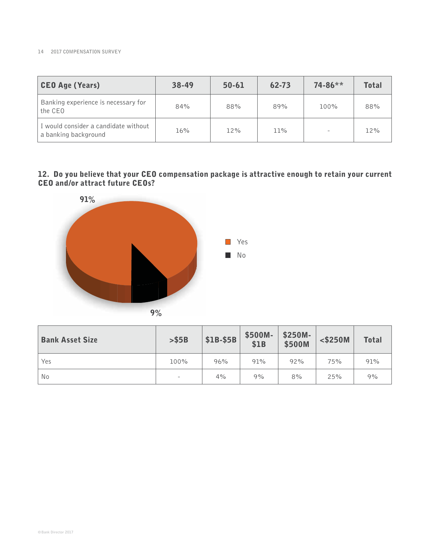#### **14 2017 COMPENSATION SURVEY**

| <b>CEO Age (Years)</b>                                       | 38-49 | $50 - 61$ | 62-73 | $74 - 86$ ** | <b>Total</b> |
|--------------------------------------------------------------|-------|-----------|-------|--------------|--------------|
| Banking experience is necessary for<br>the CEO               | 84%   | 88%       | 89%   | 100%         | 88%          |
| I would consider a candidate without<br>a banking background | 16%   | 12%       | 11%   |              | 12%          |

### **12. Do you believe that your CEO compensation package is attractive enough to retain your current CEO and/or attract future CEOs?**



| <b>Bank Asset Size</b> | > \$5B            | \$1B-\$5B | \$500M-<br>\$1B | \$250M-<br>\$500M | $<$ \$250M | <b>Total</b> |
|------------------------|-------------------|-----------|-----------------|-------------------|------------|--------------|
| Yes                    | 100%              | 96%       | 91%             | 92%               | 75%        | 91%          |
| No                     | $\qquad \qquad =$ | 4%        | 9%              | 8%                | 25%        | 9%           |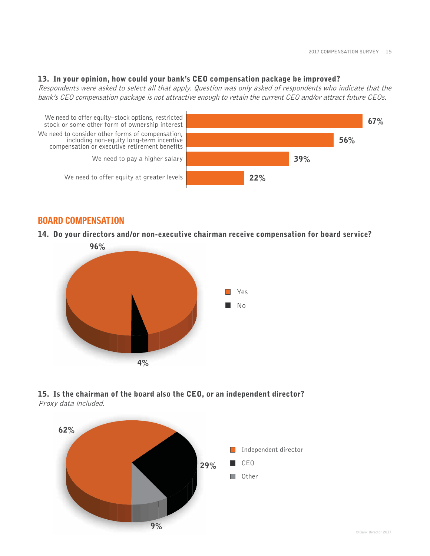#### **13. In your opinion, how could your bank's CEO compensation package be improved?**

Respondents were asked to select all that apply. Question was only asked of respondents who indicate that the bank's CEO compensation package is not attractive enough to retain the current CEO and/or attract future CEOs.



# BOARD COMPENSATION

#### **14. Do your directors and/or non-executive chairman receive compensation for board service?**





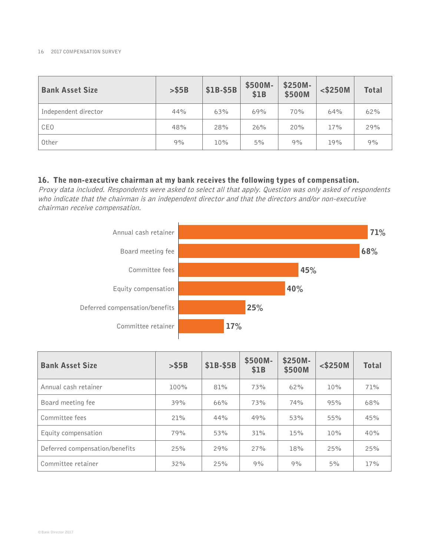#### **16 2017 COMPENSATION SURVEY**

| <b>Bank Asset Size</b> | $>$ \$5B | \$1B-\$5B | \$500M-<br>\$1B | \$250M-<br>\$500M | $<$ \$250M | <b>Total</b> |
|------------------------|----------|-----------|-----------------|-------------------|------------|--------------|
| Independent director   | 44%      | 63%       | 69%             | 70%               | 64%        | 62%          |
| <b>CEO</b>             | 48%      | 28%       | 26%             | 20%               | 17%        | 29%          |
| Other                  | 9%       | 10%       | 5%              | 9%                | 19%        | 9%           |

#### **16. The non-executive chairman at my bank receives the following types of compensation.**

Proxy data included. Respondents were asked to select all that apply. Question was only asked of respondents who indicate that the chairman is an independent director and that the directors and/or non-executive chairman receive compensation.



| <b>Bank Asset Size</b>         | $>$ \$5B | \$1B-\$5B | \$500M-<br>\$1B | \$250M-<br>\$500M | $<$ \$250M | <b>Total</b> |
|--------------------------------|----------|-----------|-----------------|-------------------|------------|--------------|
| Annual cash retainer           | 100%     | 81%       | 73%             | 62%               | 10%        | 71%          |
| Board meeting fee              | 39%      | 66%       | 73%             | 74%               | 95%        | 68%          |
| Committee fees                 | 21%      | 44%       | 49%             | 53%               | 55%        | 45%          |
| Equity compensation            | 79%      | 53%       | 31%             | 15%               | 10%        | 40%          |
| Deferred compensation/benefits | 25%      | 29%       | 27%             | 18%               | 25%        | 25%          |
| Committee retainer             | 32%      | 25%       | 9%              | 9%                | 5%         | 17%          |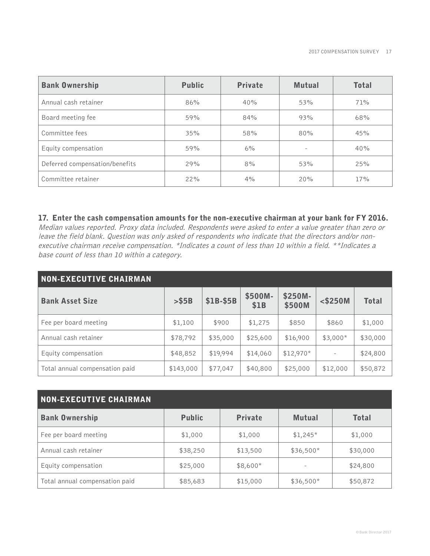| <b>Bank Ownership</b>          | <b>Public</b> | <b>Private</b> | <b>Mutual</b>            | <b>Total</b> |
|--------------------------------|---------------|----------------|--------------------------|--------------|
| Annual cash retainer           | 86%           | 40%            | 53%                      | 71%          |
| Board meeting fee              | 59%           | 84%            | 93%                      | 68%          |
| Committee fees                 | 35%           | 58%            | 80%                      | 45%          |
| Equity compensation            | 59%           | 6%             | $\overline{\phantom{a}}$ | 40%          |
| Deferred compensation/benefits | 29%           | 8%             | 53%                      | 25%          |
| Committee retainer             | 22%           | 4%             | 20%                      | 17%          |

**17. Enter the cash compensation amounts for the non-executive chairman at your bank for FY 2016.**

Median values reported. Proxy data included. Respondents were asked to enter a value greater than zero or leave the field blank. Question was only asked of respondents who indicate that the directors and/or nonexecutive chairman receive compensation. \*Indicates a count of less than 10 within a field. \*\*Indicates a base count of less than 10 within a category.

| <b>NON-EXECUTIVE CHAIRMAN</b>  |           |           |                 |                   |            |              |
|--------------------------------|-----------|-----------|-----------------|-------------------|------------|--------------|
| <b>Bank Asset Size</b>         | > \$5B    | \$1B-\$5B | \$500M-<br>\$1B | \$250M-<br>\$500M | $<$ \$250M | <b>Total</b> |
| Fee per board meeting          | \$1,100   | \$900     | \$1,275         | \$850             | \$860      | \$1,000      |
| Annual cash retainer           | \$78,792  | \$35,000  | \$25,600        | \$16,900          | $$3,000*$  | \$30,000     |
| Equity compensation            | \$48,852  | \$19,994  | \$14,060        | $$12,970*$        |            | \$24,800     |
| Total annual compensation paid | \$143,000 | \$77,047  | \$40,800        | \$25,000          | \$12,000   | \$50,872     |

| <b>NON-EXECUTIVE CHAIRMAN</b>  |               |                |                          |              |  |  |  |  |
|--------------------------------|---------------|----------------|--------------------------|--------------|--|--|--|--|
| <b>Bank Ownership</b>          | <b>Public</b> | <b>Private</b> | <b>Mutual</b>            | <b>Total</b> |  |  |  |  |
| Fee per board meeting          | \$1,000       | \$1,000        | $$1,245*$                | \$1,000      |  |  |  |  |
| Annual cash retainer           | \$38,250      | \$13,500       | $$36,500*$               | \$30,000     |  |  |  |  |
| Equity compensation            | \$25,000      | \$8,600*       | $\overline{\phantom{a}}$ | \$24,800     |  |  |  |  |
| Total annual compensation paid | \$85,683      | \$15,000       | $$36,500*$               | \$50,872     |  |  |  |  |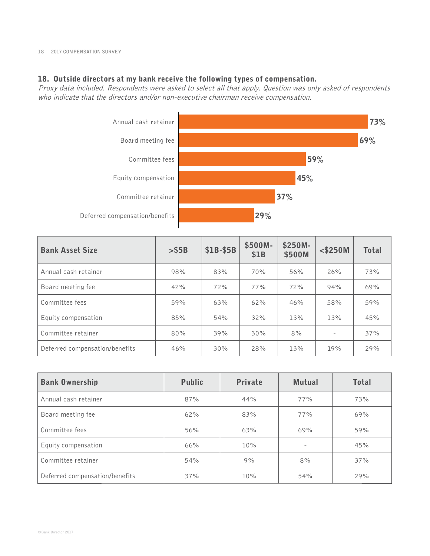#### **18. Outside directors at my bank receive the following types of compensation.**

Proxy data included. Respondents were asked to select all that apply. Question was only asked of respondents who indicate that the directors and/or non-executive chairman receive compensation.



| <b>Bank Asset Size</b>         | $>$ \$5B | \$1B-\$5B | \$500M-<br>\$1B | \$250M-<br>\$500M | $<$ \$250M | <b>Total</b> |
|--------------------------------|----------|-----------|-----------------|-------------------|------------|--------------|
| Annual cash retainer           | 98%      | 83%       | 70%             | 56%               | 26%        | 73%          |
| Board meeting fee              | 42%      | 72%       | 77%             | 72%               | 94%        | 69%          |
| Committee fees                 | 59%      | 63%       | 62%             | 46%               | 58%        | 59%          |
| Equity compensation            | 85%      | 54%       | 32%             | 13%               | 13%        | 45%          |
| Committee retainer             | 80%      | 39%       | 30%             | 8%                |            | 37%          |
| Deferred compensation/benefits | 46%      | 30%       | 28%             | 13%               | 19%        | 29%          |

| <b>Bank Ownership</b>          | <b>Public</b> | <b>Private</b> | <b>Mutual</b>            | <b>Total</b> |
|--------------------------------|---------------|----------------|--------------------------|--------------|
| Annual cash retainer           | 87%           | 44%            | 77%                      | 73%          |
| Board meeting fee              | 62%           | 83%            | 77%                      | 69%          |
| Committee fees                 | 56%           | 63%            | 69%                      | 59%          |
| Equity compensation            | 66%           | 10%            | $\overline{\phantom{a}}$ | 45%          |
| Committee retainer             | 54%           | 9%             | 8%                       | 37%          |
| Deferred compensation/benefits | 37%           | 10%            | 54%                      | 29%          |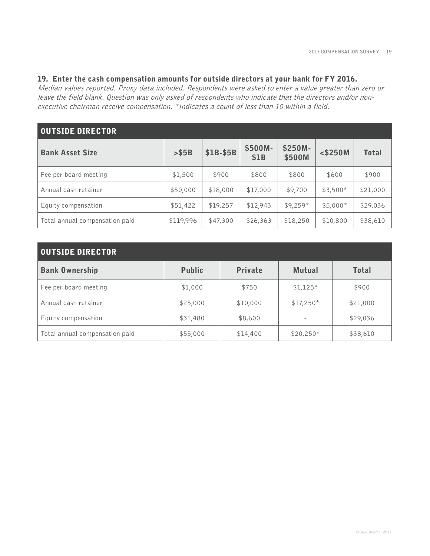#### **19. Enter the cash compensation amounts for outside directors at your bank for FY 2016.**

Median values reported. Proxy data included. Respondents were asked to enter a value greater than zero or leave the field blank. Question was only asked of respondents who indicate that the directors and/or nonexecutive chairman receive compensation. \*Indicates a count of less than 10 within a field.

| <b>OUTSIDE DIRECTOR</b>        |           |           |                 |                   |            |              |
|--------------------------------|-----------|-----------|-----------------|-------------------|------------|--------------|
| <b>Bank Asset Size</b>         | > \$5B    | \$1B-\$5B | \$500M-<br>\$1B | \$250M-<br>\$500M | $<$ \$250M | <b>Total</b> |
| Fee per board meeting          | \$1,500   | \$900     | \$800           | \$800             | \$600      | \$900        |
| Annual cash retainer           | \$50,000  | \$18,000  | \$17,000        | \$9,700           | $$3,500*$  | \$21,000     |
| Equity compensation            | \$51,422  | \$19,257  | \$12,943        | $$9,259*$         | $$5,000*$  | \$29,036     |
| Total annual compensation paid | \$119,996 | \$47,300  | \$26,363        | \$18,250          | \$10,800   | \$38,610     |

# **OUTSIDE DIRECTOR**

| VVI VIDE DINEVIDIN             |               |                |                          |              |
|--------------------------------|---------------|----------------|--------------------------|--------------|
| <b>Bank Ownership</b>          | <b>Public</b> | <b>Private</b> | <b>Mutual</b>            | <b>Total</b> |
| Fee per board meeting          | \$1,000       | \$750          | $$1,125*$                | \$900        |
| Annual cash retainer           | \$25,000      | \$10,000       | $$17,250*$               | \$21,000     |
| Equity compensation            | \$31,480      | \$8,600        | $\overline{\phantom{a}}$ | \$29,036     |
| Total annual compensation paid | \$55,000      | \$14,400       | $$20,250*$               | \$38,610     |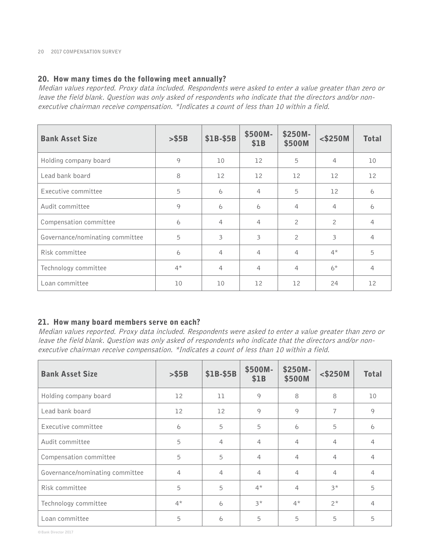#### **20. How many times do the following meet annually?**

Median values reported. Proxy data included. Respondents were asked to enter a value greater than zero or leave the field blank. Question was only asked of respondents who indicate that the directors and/or nonexecutive chairman receive compensation. \*Indicates a count of less than 10 within a field.

| <b>Bank Asset Size</b>          | > \$5B | \$1B-\$5B      | \$500M-<br>\$1B | \$250M-<br>\$500M | $<$ \$250M     | <b>Total</b>   |
|---------------------------------|--------|----------------|-----------------|-------------------|----------------|----------------|
| Holding company board           | 9      | 10             | 12              | 5                 | $\overline{4}$ | 10             |
| Lead bank board                 | 8      | 12             | 12              | 12                | 12             | 12             |
| Executive committee             | 5      | 6              | 4               | 5                 | 12             | 6              |
| Audit committee                 | 9      | 6              | 6               | 4                 | $\overline{4}$ | 6              |
| Compensation committee          | 6      | 4              | 4               | $\overline{c}$    | $\overline{c}$ | $\overline{4}$ |
| Governance/nominating committee | 5      | 3              | 3               | $\overline{c}$    | 3              | $\overline{4}$ |
| Risk committee                  | 6      | $\overline{4}$ | $\overline{4}$  | $\overline{4}$    | $4*$           | 5              |
| Technology committee            | $4^*$  | 4              | 4               | 4                 | $6*$           | $\overline{4}$ |
| Loan committee                  | 10     | 10             | 12              | 12                | 24             | 12             |

#### **21. How many board members serve on each?**

Median values reported. Proxy data included. Respondents were asked to enter a value greater than zero or leave the field blank. Question was only asked of respondents who indicate that the directors and/or nonexecutive chairman receive compensation. \*Indicates a count of less than 10 within a field.

| <b>Bank Asset Size</b>          | > \$5B            | \$1B-\$5B         | \$500M-<br>\$1B | \$250M-<br>\$500M | $<$ \$250M     | <b>Total</b> |
|---------------------------------|-------------------|-------------------|-----------------|-------------------|----------------|--------------|
| Holding company board           | 12                | 11                | 9               | 8                 | 8              | 10           |
| Lead bank board                 | $12 \overline{ }$ | $12 \overline{ }$ | 9               | $\circ$           | 7              | 9            |
| Executive committee             | 6                 | 5                 | 5               | 6                 | 5              | 6            |
| Audit committee                 | 5                 | $\overline{4}$    | $\overline{4}$  | $\overline{4}$    | $\overline{4}$ | 4            |
| Compensation committee          | 5                 | 5                 | $\overline{4}$  | $\overline{4}$    | $\overline{4}$ | 4            |
| Governance/nominating committee | $\overline{4}$    | $\overline{4}$    | $\overline{4}$  | $\overline{4}$    | $\overline{4}$ | 4            |
| Risk committee                  | 5                 | 5                 | $4*$            | $\overline{4}$    | $3*$           | 5            |
| Technology committee            | $4^*$             | 6                 | $3*$            | $4*$              | $2*$           | 4            |
| Loan committee                  | 5                 | 6                 | 5               | 5                 | 5              | 5            |

**© Bank Director 2017**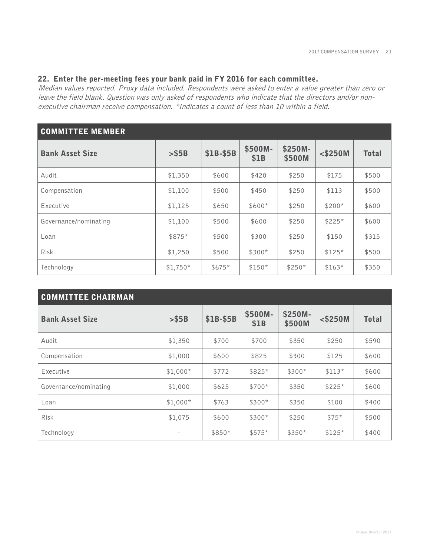#### **22. Enter the per-meeting fees your bank paid in FY 2016 for each committee.**

Median values reported. Proxy data included. Respondents were asked to enter a value greater than zero or leave the field blank. Question was only asked of respondents who indicate that the directors and/or nonexecutive chairman receive compensation. \*Indicates a count of less than 10 within a field.

| <b>COMMITTEE MEMBER</b> |           |           |                 |                   |            |              |  |
|-------------------------|-----------|-----------|-----------------|-------------------|------------|--------------|--|
| <b>Bank Asset Size</b>  | $>$ \$5B  | \$1B-\$5B | \$500M-<br>\$1B | \$250M-<br>\$500M | $<$ \$250M | <b>Total</b> |  |
| Audit                   | \$1,350   | \$600     | \$420           | \$250             | \$175      | \$500        |  |
| Compensation            | \$1,100   | \$500     | \$450           | \$250             | \$113      | \$500        |  |
| Executive               | \$1,125   | \$650     | $$600*$         | \$250             | $$200*$    | \$600        |  |
| Governance/nominating   | \$1,100   | \$500     | \$600           | \$250             | $$225*$    | \$600        |  |
| Loan                    | $$875*$   | \$500     | \$300           | \$250             | \$150      | \$315        |  |
| Risk                    | \$1,250   | \$500     | $$300*$         | \$250             | $$125*$    | \$500        |  |
| Technology              | $$1,750*$ | $$675*$   | $$150*$         | $$250*$           | $$163*$    | \$350        |  |

| <b>COMMITTEE CHAIRMAN</b> |           |           |                 |                   |            |              |  |  |
|---------------------------|-----------|-----------|-----------------|-------------------|------------|--------------|--|--|
| <b>Bank Asset Size</b>    | > \$5B    | \$1B-\$5B | \$500M-<br>\$1B | \$250M-<br>\$500M | $<$ \$250M | <b>Total</b> |  |  |
| Audit                     | \$1,350   | \$700     | \$700           | \$350             | \$250      | \$590        |  |  |
| Compensation              | \$1,000   | \$600     | \$825           | \$300             | \$125      | \$600        |  |  |
| Executive                 | $$1,000*$ | \$772     | \$825*          | $$300*$           | $$113*$    | \$600        |  |  |
| Governance/nominating     | \$1,000   | \$625     | $$700*$         | \$350             | $$225*$    | \$600        |  |  |
| Loan                      | $$1,000*$ | \$763     | $$300*$         | \$350             | \$100      | \$400        |  |  |
| Risk                      | \$1,075   | \$600     | $$300*$         | \$250             | $$75*$     | \$500        |  |  |
| Technology                |           | $$850*$   | $$575*$         | $$350*$           | $$125*$    | \$400        |  |  |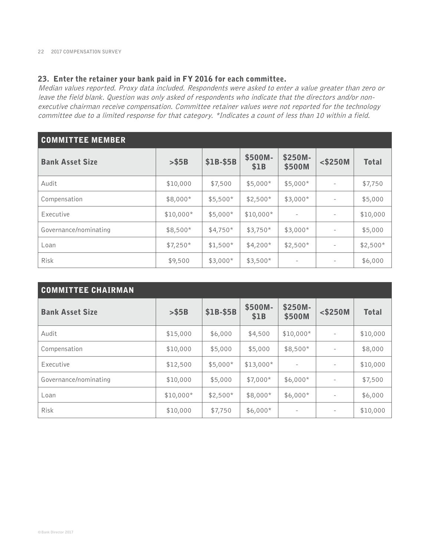#### **23. Enter the retainer your bank paid in FY 2016 for each committee.**

Median values reported. Proxy data included. Respondents were asked to enter a value greater than zero or leave the field blank. Question was only asked of respondents who indicate that the directors and/or nonexecutive chairman receive compensation. Committee retainer values were not reported for the technology committee due to a limited response for that category. \*Indicates a count of less than 10 within a field.

| <b>COMMITTEE MEMBER</b> |            |           |                 |                          |                          |              |  |
|-------------------------|------------|-----------|-----------------|--------------------------|--------------------------|--------------|--|
| <b>Bank Asset Size</b>  | $>$ \$5B   | \$1B-\$5B | \$500M-<br>\$1B | \$250M-<br>\$500M        | $<$ \$250M               | <b>Total</b> |  |
| Audit                   | \$10,000   | \$7,500   | $$5,000*$       | $$5,000*$                | $\overline{\phantom{a}}$ | \$7,750      |  |
| Compensation            | $$8,000*$  | $$5,500*$ | $$2,500*$       | $$3,000*$                | $\overline{\phantom{a}}$ | \$5,000      |  |
| Executive               | $$10,000*$ | $$5,000*$ | $$10,000*$      | $\overline{\phantom{a}}$ | $\overline{\phantom{a}}$ | \$10,000     |  |
| Governance/nominating   | $$8,500*$  | $$4,750*$ | $$3,750*$       | $$3,000*$                |                          | \$5,000      |  |
| Loan                    | $$7,250*$  | $$1,500*$ | $$4,200*$       | $$2,500*$                | -                        | $$2,500*$    |  |
| Risk                    | \$9,500    | $$3,000*$ | $$3,500*$       | $\overline{\phantom{a}}$ |                          | \$6,000      |  |

| <b>COMMITTEE CHAIRMAN</b> |            |           |                 |                          |                          |              |  |
|---------------------------|------------|-----------|-----------------|--------------------------|--------------------------|--------------|--|
| <b>Bank Asset Size</b>    | $>$ \$5B   | \$1B-\$5B | \$500M-<br>\$1B | \$250M-<br>\$500M        | $<$ \$250M               | <b>Total</b> |  |
| Audit                     | \$15,000   | \$6,000   | \$4,500         | $$10,000*$               | $\overline{\phantom{a}}$ | \$10,000     |  |
| Compensation              | \$10,000   | \$5,000   | \$5,000         | $$8,500*$                | $\overline{\phantom{a}}$ | \$8,000      |  |
| Executive                 | \$12,500   | $$5,000*$ | $$13,000*$      | $\overline{\phantom{a}}$ | $\overline{\phantom{a}}$ | \$10,000     |  |
| Governance/nominating     | \$10,000   | \$5,000   | $$7,000*$       | $$6,000*$                |                          | \$7,500      |  |
| Loan                      | $$10,000*$ | $$2,500*$ | $$8,000*$       | $$6,000*$                | $\overline{\phantom{a}}$ | \$6,000      |  |
| Risk                      | \$10,000   | \$7,750   | $$6,000*$       | $\overline{\phantom{a}}$ |                          | \$10,000     |  |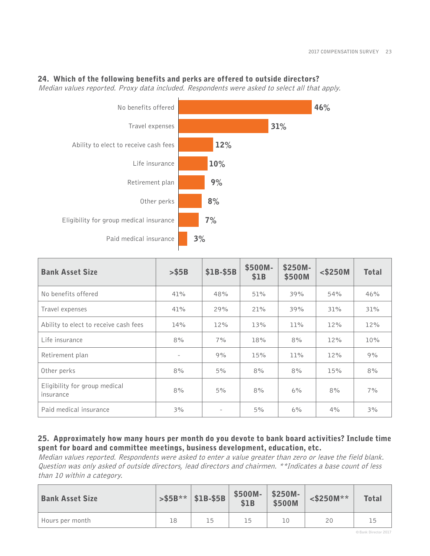### **24. Which of the following benefits and perks are offered to outside directors?**

Median values reported. Proxy data included. Respondents were asked to select all that apply.



| <b>Bank Asset Size</b>                     | $>$ \$5B | \$1B-\$5B | \$500M-<br>\$1B | \$250M-<br>\$500M | $<$ \$250M | <b>Total</b> |
|--------------------------------------------|----------|-----------|-----------------|-------------------|------------|--------------|
| No benefits offered                        | 41%      | 48%       | 51%             | 39%               | 54%        | 46%          |
| Travel expenses                            | 41%      | 29%       | 21%             | 39%               | 31%        | 31%          |
| Ability to elect to receive cash fees      | 14%      | 12%       | 13%             | 11%               | 12%        | 12%          |
| Life insurance                             | 8%       | 7%        | 18%             | 8%                | 12%        | $10\%$       |
| Retirement plan                            |          | 9%        | 15%             | 11%               | 12%        | 9%           |
| Other perks                                | 8%       | 5%        | 8%              | 8%                | 15%        | 8%           |
| Eligibility for group medical<br>insurance | 8%       | 5%        | 8%              | 6%                | 8%         | 7%           |
| Paid medical insurance                     | 3%       |           | 5%              | 6%                | 4%         | 3%           |

### **25. Approximately how many hours per month do you devote to bank board activities? Include time spent for board and committee meetings, business development, education, etc.**

Median values reported. Respondents were asked to enter a value greater than zero or leave the field blank. Question was only asked of outside directors, lead directors and chairmen. \*\*Indicates a base count of less than 10 within a category.

| <b>Bank Asset Size</b> |    | $>$ \$5B**   \$1B-\$5B | $$500M-$<br>\$1B | $\begin{array}{c} $250M-\\ $500M \end{array}$ | $<$ \$250M** | <b>Total</b>             |
|------------------------|----|------------------------|------------------|-----------------------------------------------|--------------|--------------------------|
| Hours per month        | 18 |                        | 15               | lC                                            | 20           | $\overline{\phantom{a}}$ |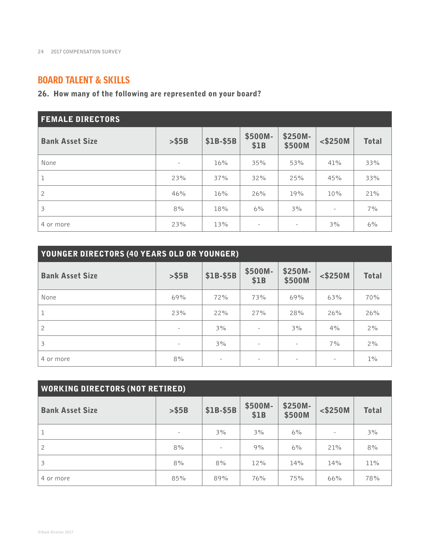# BOARD TALENT & SKILLS

# **26. How many of the following are represented on your board?**

| <b>FEMALE DIRECTORS</b> |                          |           |                          |                          |                          |              |  |
|-------------------------|--------------------------|-----------|--------------------------|--------------------------|--------------------------|--------------|--|
| <b>Bank Asset Size</b>  | > \$5B                   | \$1B-\$5B | \$500M-<br>\$1B          | \$250M-<br>\$500M        | $<$ \$250M               | <b>Total</b> |  |
| None                    | $\overline{\phantom{a}}$ | 16%       | 35%                      | 53%                      | 41%                      | 33%          |  |
| $\mathbf 1$             | 23%                      | 37%       | 32%                      | 25%                      | 45%                      | 33%          |  |
| $\mathbf{2}$            | 46%                      | 16%       | 26%                      | 19%                      | 10%                      | 21%          |  |
| 3                       | 8%                       | 18%       | 6%                       | 3%                       | $\overline{\phantom{a}}$ | 7%           |  |
| 4 or more               | 23%                      | 13%       | $\overline{\phantom{a}}$ | $\overline{\phantom{a}}$ | 3%                       | 6%           |  |

| YOUNGER DIRECTORS (40 YEARS OLD OR YOUNGER) |                          |                          |                          |                          |                          |              |  |
|---------------------------------------------|--------------------------|--------------------------|--------------------------|--------------------------|--------------------------|--------------|--|
| <b>Bank Asset Size</b>                      | > \$5B                   | \$1B-\$5B                | \$500M-<br>\$1B          | \$250M-<br>\$500M        | $<$ \$250M               | <b>Total</b> |  |
| None                                        | 69%                      | 72%                      | 73%                      | 69%                      | 63%                      | 70%          |  |
| $\mathbf 1$                                 | 23%                      | 22%                      | 27%                      | 28%                      | 26%                      | 26%          |  |
| $\overline{2}$                              | $\overline{\phantom{a}}$ | 3%                       | $\overline{\phantom{a}}$ | 3%                       | 4%                       | 2%           |  |
| 3                                           |                          | 3%                       |                          | $\overline{\phantom{a}}$ | 7%                       | 2%           |  |
| 4 or more                                   | 8%                       | $\overline{\phantom{a}}$ | $\overline{\phantom{a}}$ | $\overline{\phantom{a}}$ | $\overline{\phantom{a}}$ | $1\%$        |  |

| <b>WORKING DIRECTORS (NOT RETIRED)</b> |                          |                          |                 |                   |                          |              |  |
|----------------------------------------|--------------------------|--------------------------|-----------------|-------------------|--------------------------|--------------|--|
| <b>Bank Asset Size</b>                 | > \$5B                   | \$1B-\$5B                | \$500M-<br>\$1B | \$250M-<br>\$500M | $<$ \$250M               | <b>Total</b> |  |
|                                        | $\overline{\phantom{0}}$ | 3%                       | 3%              | 6%                | $\overline{\phantom{a}}$ | 3%           |  |
| 2                                      | 8%                       | $\overline{\phantom{m}}$ | 9%              | 6%                | 21%                      | 8%           |  |
| 3                                      | 8%                       | 8%                       | 12%             | 14%               | 14%                      | 11%          |  |
| 4 or more                              | 85%                      | 89%                      | 76%             | 75%               | 66%                      | 78%          |  |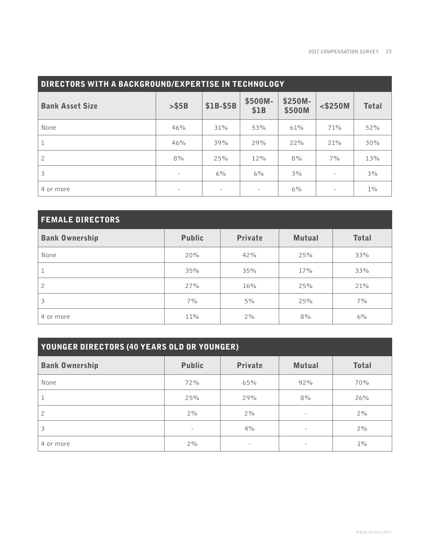| <b>DIRECTORS WITH A BACKGROUND/EXPERTISE IN TECHNOLOGY</b> |                          |                          |                          |                   |                          |              |  |  |  |
|------------------------------------------------------------|--------------------------|--------------------------|--------------------------|-------------------|--------------------------|--------------|--|--|--|
| <b>Bank Asset Size</b>                                     | > \$5B                   | <b>\$1B-\$5B</b>         | \$500M-<br>\$1B          | \$250M-<br>\$500M | $<$ \$250M               | <b>Total</b> |  |  |  |
| None                                                       | 46%                      | 31%                      | 53%                      | 61%               | 71%                      | 52%          |  |  |  |
|                                                            | 46%                      | 39%                      | 29%                      | 22%               | 21%                      | 30%          |  |  |  |
| 2                                                          | 8%                       | 25%                      | 12%                      | 8%                | 7%                       | 13%          |  |  |  |
| 3                                                          | $\overline{\phantom{a}}$ | 6%                       | 6%                       | 3%                | $\overline{\phantom{a}}$ | 3%           |  |  |  |
| 4 or more                                                  |                          | $\overline{\phantom{m}}$ | $\overline{\phantom{a}}$ | 6%                | $\overline{\phantom{a}}$ | $1\%$        |  |  |  |

| <b>FEMALE DIRECTORS</b> |               |                |               |              |
|-------------------------|---------------|----------------|---------------|--------------|
| <b>Bank Ownership</b>   | <b>Public</b> | <b>Private</b> | <b>Mutual</b> | <b>Total</b> |
| None                    | 20%           | 42%            | 25%           | 33%          |
| 1                       | 35%           | 35%            | 17%           | 33%          |
| 2                       | 27%           | 16%            | 25%           | 21%          |
| $\mathbf{3}$            | 7%            | 5%             | 25%           | 7%           |
| 4 or more               | 11%           | 2%             | 8%            | 6%           |

| <b>YOUNGER DIRECTORS (40 YEARS OLD OR YOUNGER)</b> |                          |                |                          |              |  |  |  |  |  |
|----------------------------------------------------|--------------------------|----------------|--------------------------|--------------|--|--|--|--|--|
| <b>Bank Ownership</b>                              | <b>Public</b>            | <b>Private</b> | <b>Mutual</b>            | <b>Total</b> |  |  |  |  |  |
| None                                               | 72%                      | 65%            | 92%                      | 70%          |  |  |  |  |  |
|                                                    | 25%                      | 29%            | 8%                       | 26%          |  |  |  |  |  |
| 2                                                  | 2%                       | 2%             | $\overline{\phantom{0}}$ | 2%           |  |  |  |  |  |
| 3                                                  | $\overline{\phantom{a}}$ | 4%             | -                        | 2%           |  |  |  |  |  |
| 4 or more                                          | 2%                       |                | -                        | $1\%$        |  |  |  |  |  |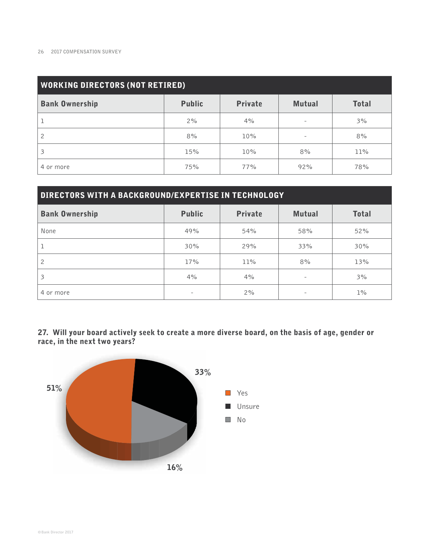| <b>WORKING DIRECTORS (NOT RETIRED)</b> |               |                |                          |              |  |  |  |  |  |
|----------------------------------------|---------------|----------------|--------------------------|--------------|--|--|--|--|--|
| <b>Bank Ownership</b>                  | <b>Public</b> | <b>Private</b> | <b>Mutual</b>            | <b>Total</b> |  |  |  |  |  |
|                                        | 2%            | 4%             | -                        | 3%           |  |  |  |  |  |
| $\overline{c}$                         | 8%            | 10%            | $\overline{\phantom{a}}$ | 8%           |  |  |  |  |  |
| 3                                      | 15%           | 10%            | 8%                       | 11%          |  |  |  |  |  |
| 4 or more                              | 75%           | 77%            | 92%                      | 78%          |  |  |  |  |  |

| <b>DIRECTORS WITH A BACKGROUND/EXPERTISE IN TECHNOLOGY</b> |               |                |                          |              |  |  |  |  |  |
|------------------------------------------------------------|---------------|----------------|--------------------------|--------------|--|--|--|--|--|
| <b>Bank Ownership</b>                                      | <b>Public</b> | <b>Private</b> | <b>Mutual</b>            | <b>Total</b> |  |  |  |  |  |
| None                                                       | 49%           | 54%            | 58%                      | 52%          |  |  |  |  |  |
|                                                            | 30%           | 29%            | 33%                      | 30%          |  |  |  |  |  |
| 2                                                          | 17%           | 11%            | 8%                       | 13%          |  |  |  |  |  |
| 3                                                          | 4%            | 4%             | $\overline{\phantom{a}}$ | 3%           |  |  |  |  |  |
| 4 or more                                                  | -             | 2%             | -                        | $1\%$        |  |  |  |  |  |

**27. Will your board actively seek to create a more diverse board, on the basis of age, gender or race, in the next two years?**

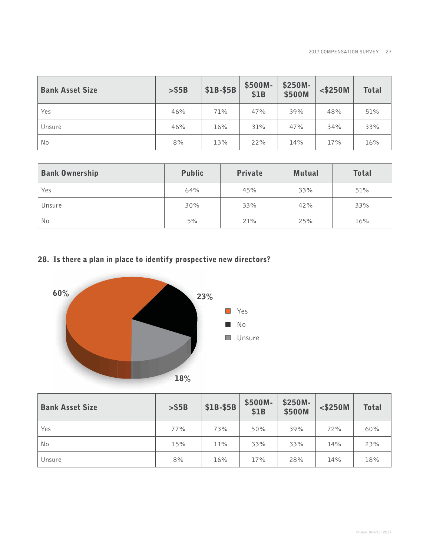| <b>Bank Asset Size</b> | > \$5B | \$1B-\$5B | \$500M-<br>\$1B | \$250M-<br>\$500M | $<$ \$250M | <b>Total</b> |
|------------------------|--------|-----------|-----------------|-------------------|------------|--------------|
| Yes                    | 46%    | 71%       | 47%             | 39%               | 48%        | 51%          |
| Unsure                 | 46%    | 16%       | 31%             | 47%               | 34%        | 33%          |
| <b>No</b>              | 8%     | 13%       | 22%             | 14%               | 17%        | 16%          |

| <b>Bank Ownership</b> | <b>Public</b> | <b>Private</b> | <b>Mutual</b> | <b>Total</b> |
|-----------------------|---------------|----------------|---------------|--------------|
| Yes                   | 64%           | 45%            | 33%           | 51%          |
| Unsure                | 30%           | 33%            | 42%           | 33%          |
| No                    | 5%            | 21%            | 25%           | 16%          |

# **28. Is there a plan in place to identify prospective new directors?**



| <b>Bank Asset Size</b> | > \$5B | \$1B-\$5B | \$500M-<br>\$1B | \$250M-<br>\$500M | $<$ \$250M | <b>Total</b> |
|------------------------|--------|-----------|-----------------|-------------------|------------|--------------|
| Yes                    | 77%    | 73%       | 50%             | 39%               | 72%        | 60%          |
| No                     | 15%    | 11%       | 33%             | 33%               | 14%        | 23%          |
| Unsure                 | 8%     | 16%       | 17%             | 28%               | 14%        | 18%          |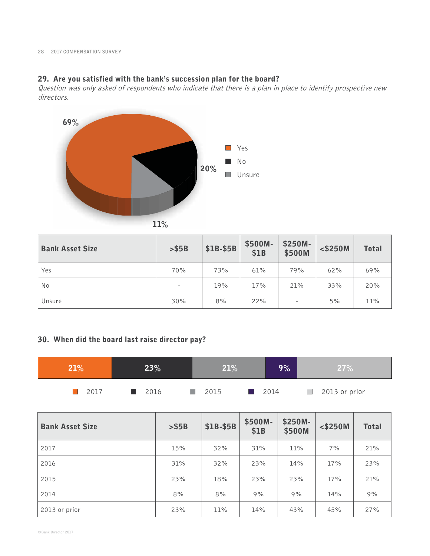# **29. Are you satisfied with the bank's succession plan for the board?**

Question was only asked of respondents who indicate that there is a plan in place to identify prospective new directors.



**11%**

| <b>Bank Asset Size</b> | > \$5B            | \$1B-\$5B | \$500M-<br>\$1B | \$250M-<br>\$500M        | $<$ \$250M | <b>Total</b> |
|------------------------|-------------------|-----------|-----------------|--------------------------|------------|--------------|
| Yes                    | 70%               | 73%       | 61%             | 79%                      | 62%        | 69%          |
| No                     | $\qquad \qquad =$ | 19%       | 17%             | 21%                      | 33%        | 20%          |
| Unsure                 | 30%               | 8%        | 22%             | $\overline{\phantom{a}}$ | 5%         | 11%          |

## **30. When did the board last raise director pay?**

| 21%  | $23\%$ | 21%         | 9%                  | 27%                  |
|------|--------|-------------|---------------------|----------------------|
| 2017 | 2016   | $\Box$ 2015 | $\blacksquare$ 2014 | $\Box$ 2013 or prior |

| <b>Bank Asset Size</b> | > \$5B | \$1B-\$5B | \$500M-<br>\$1B | \$250M-<br>\$500M | $<$ \$250M | <b>Total</b> |
|------------------------|--------|-----------|-----------------|-------------------|------------|--------------|
| 2017                   | 15%    | 32%       | 31%             | 11%               | 7%         | 21%          |
| 2016                   | 31%    | 32%       | 23%             | 14%               | 17%        | 23%          |
| 2015                   | 23%    | 18%       | 23%             | 23%               | 17%        | 21%          |
| 2014                   | 8%     | 8%        | 9%              | 9%                | 14%        | 9%           |
| 2013 or prior          | 23%    | 11%       | 14%             | 43%               | 45%        | 27%          |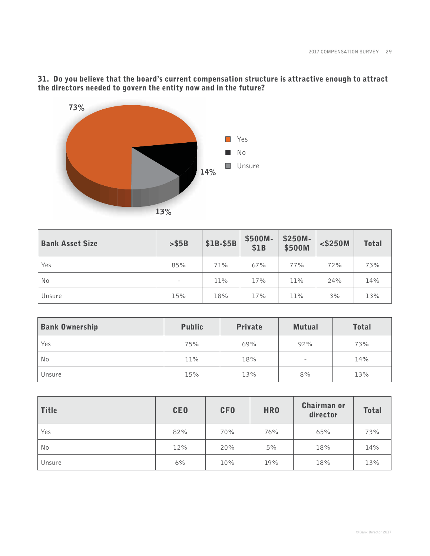

### **31. Do you believe that the board's current compensation structure is attractive enough to attract the directors needed to govern the entity now and in the future?**

| <b>Bank Asset Size</b> | > \$5B            | \$1B-\$5B | \$500M-<br>\$1B | \$250M-<br>\$500M | $<$ \$250M | <b>Total</b> |
|------------------------|-------------------|-----------|-----------------|-------------------|------------|--------------|
| Yes                    | 85%               | 71%       | 67%             | 77%               | 72%        | 73%          |
| No                     | $\qquad \qquad =$ | 11%       | 17%             | 11%               | 24%        | 14%          |
| Unsure                 | 15%               | 18%       | 17%             | 11%               | 3%         | 13%          |

| <b>Bank Ownership</b> | <b>Public</b> | <b>Private</b> | <b>Mutual</b>            | <b>Total</b> |  |
|-----------------------|---------------|----------------|--------------------------|--------------|--|
| Yes                   | 75%           | 69%            | 92%                      | 73%          |  |
| No                    | 11%           | 18%            | $\overline{\phantom{a}}$ | 14%          |  |
| Unsure                | 15%           | 13%            | 8%                       | 13%          |  |

| <b>Title</b> | <b>CEO</b> | <b>CFO</b> | <b>HRO</b> | <b>Chairman or</b><br>director | <b>Total</b> |
|--------------|------------|------------|------------|--------------------------------|--------------|
| Yes          | 82%        | 70%        | 76%        | 65%                            | 73%          |
| No           | 12%        | 20%        | 5%         | 18%                            | 14%          |
| Unsure       | 6%         | 10%        | 19%        | 18%                            | 13%          |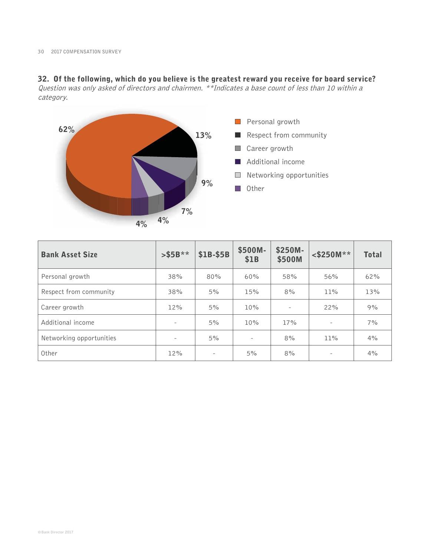# **32. Of the following, which do you believe is the greatest reward you receive for board service?**

Question was only asked of directors and chairmen. \*\*Indicates a base count of less than 10 within a category.



| <b>Bank Asset Size</b>   | $>$ \$5B**               | \$1B-\$5B                | \$500M-<br><b>\$1B</b>   | \$250M-<br>\$500M | $<$ \$250M** | <b>Total</b> |
|--------------------------|--------------------------|--------------------------|--------------------------|-------------------|--------------|--------------|
| Personal growth          | 38%                      | 80%                      | 60%                      | 58%               | 56%          | 62%          |
| Respect from community   | 38%                      | 5%                       | 15%                      | 8%                | 11%          | 13%          |
| Career growth            | 12%                      | 5%                       | 10%                      |                   | 22%          | 9%           |
| Additional income        | $\overline{\phantom{a}}$ | 5%                       | 10%                      | 17%               |              | 7%           |
| Networking opportunities | $\overline{\phantom{a}}$ | 5%                       | $\overline{\phantom{a}}$ | 8%                | 11%          | 4%           |
| Other                    | 12%                      | $\overline{\phantom{a}}$ | 5%                       | 8%                |              | 4%           |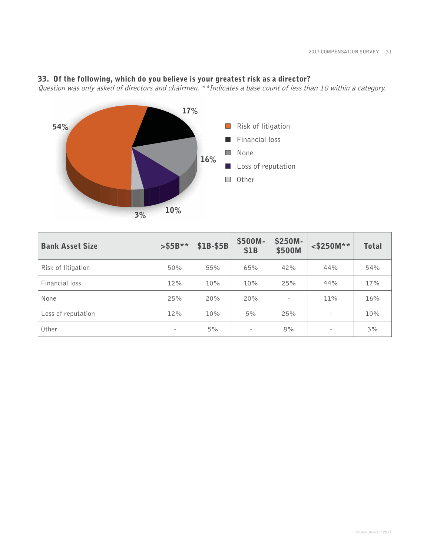#### **33. Of the following, which do you believe is your greatest risk as a director?**

Question was only asked of directors and chairmen. \*\*Indicates a base count of less than 10 within a category.



| <b>Bank Asset Size</b> | $>$ \$5B** | \$1B-\$5B | \$500M-<br>\$1B | \$250M-<br>\$500M        | $<$ \$250M** | <b>Total</b> |
|------------------------|------------|-----------|-----------------|--------------------------|--------------|--------------|
| Risk of litigation     | 50%        | 55%       | 65%             | 42%                      | 44%          | 54%          |
| Financial loss         | 12%        | 10%       | 10%             | 25%                      | 44%          | 17%          |
| None                   | 25%        | 20%       | 20%             | $\overline{\phantom{a}}$ | 11%          | 16%          |
| Loss of reputation     | 12%        | 10%       | 5%              | 25%                      |              | 10%          |
| Other                  | -          | 5%        | -               | 8%                       |              | 3%           |